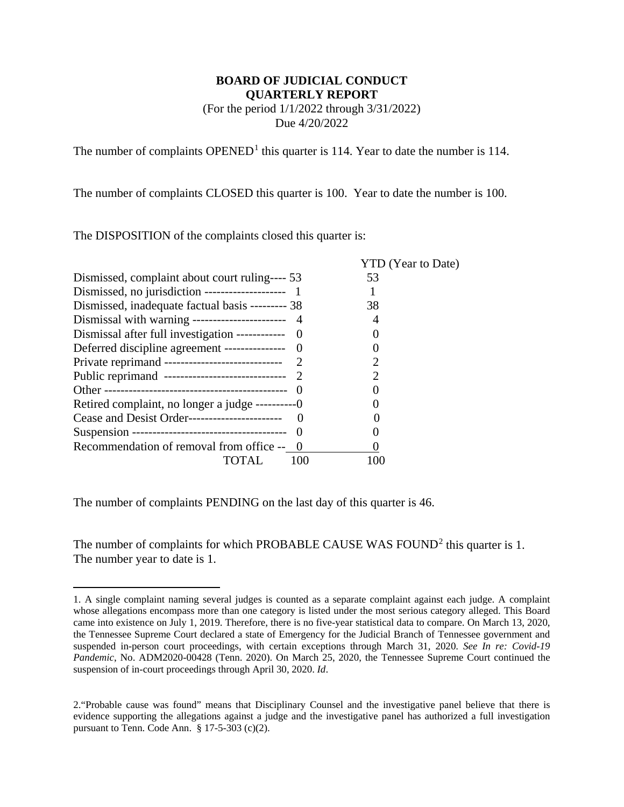### **BOARD OF JUDICIAL CONDUCT QUARTERLY REPORT**  (For the period 1/1/2022 through 3/31/2022) Due 4/20/2022

The number of complaints  $OPENED<sup>1</sup>$  $OPENED<sup>1</sup>$  $OPENED<sup>1</sup>$  this quarter is 114. Year to date the number is 114.

The number of complaints CLOSED this quarter is 100. Year to date the number is 100.

The DISPOSITION of the complaints closed this quarter is:

|                                                    | <b>YTD</b> (Year to Date) |  |
|----------------------------------------------------|---------------------------|--|
| Dismissed, complaint about court ruling---- 53     | 53                        |  |
|                                                    |                           |  |
| Dismissed, inadequate factual basis --------- 38   | 38                        |  |
| Dismissal with warning ------------------------- 4 |                           |  |
| Dismissal after full investigation ------------ 0  |                           |  |
| Deferred discipline agreement ---------------- 0   |                           |  |
|                                                    |                           |  |
|                                                    |                           |  |
|                                                    |                           |  |
| Retired complaint, no longer a judge ----------0   |                           |  |
| Cease and Desist Order-----------------------      |                           |  |
| - 0                                                |                           |  |
| Recommendation of removal from office -- 0         |                           |  |
| 100                                                |                           |  |

The number of complaints PENDING on the last day of this quarter is 46.

The number of complaints for which PROBABLE CAUSE WAS FOUND<sup>[2](#page-0-1)</sup> this quarter is 1. The number year to date is 1.

<span id="page-0-0"></span> <sup>1.</sup> A single complaint naming several judges is counted as a separate complaint against each judge. A complaint whose allegations encompass more than one category is listed under the most serious category alleged. This Board came into existence on July 1, 2019. Therefore, there is no five-year statistical data to compare. On March 13, 2020, the Tennessee Supreme Court declared a state of Emergency for the Judicial Branch of Tennessee government and suspended in-person court proceedings, with certain exceptions through March 31, 2020. *See In re: Covid-19 Pandemic*, No. ADM2020-00428 (Tenn. 2020). On March 25, 2020, the Tennessee Supreme Court continued the suspension of in-court proceedings through April 30, 2020. *Id*.

<span id="page-0-1"></span><sup>2.&</sup>quot;Probable cause was found" means that Disciplinary Counsel and the investigative panel believe that there is evidence supporting the allegations against a judge and the investigative panel has authorized a full investigation pursuant to Tenn. Code Ann. § 17-5-303 (c)(2).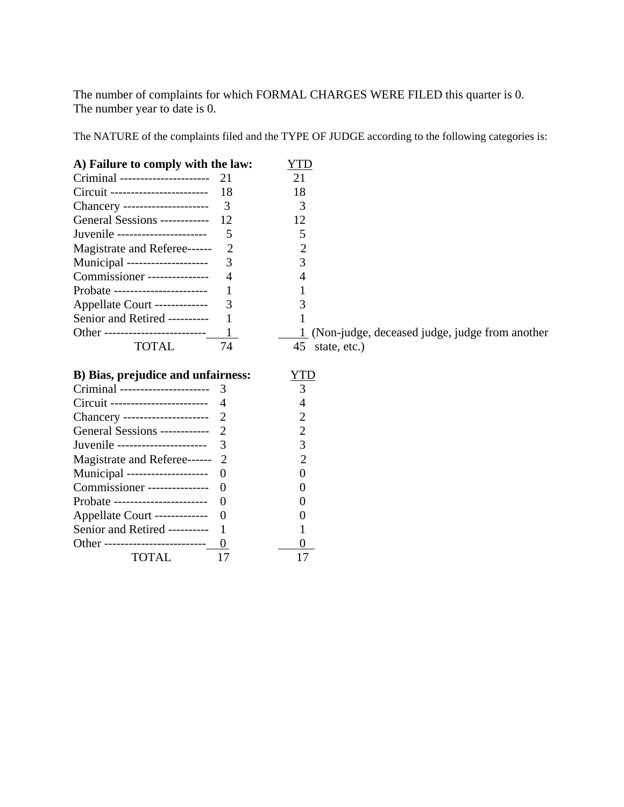The number of complaints for which FORMAL CHARGES WERE FILED this quarter is 0. The number year to date is 0.

The NATURE of the complaints filed and the TYPE OF JUDGE according to the following categories is:

| A) Failure to comply with the law: |                          | YTD                                             |
|------------------------------------|--------------------------|-------------------------------------------------|
| Criminal -----------------------   | 21                       | 21                                              |
| Circuit ------------------------   | 18                       | 18                                              |
| Chancery ---------------------     | 3                        | 3                                               |
| General Sessions ------------      | 12                       | 12                                              |
| Juvenile ----------------------    | 5                        | 5                                               |
| Magistrate and Referee------       | $\overline{2}$           | $\overline{2}$                                  |
| Municipal --------------------     | 3                        | 3                                               |
| Commissioner ---------------       | 4                        |                                                 |
| Probate -----------------------    | 1                        |                                                 |
| Appellate Court -------------      | 3                        | 3                                               |
| Senior and Retired ----------      |                          |                                                 |
| Other -------------------------    |                          | (Non-judge, deceased judge, judge from another) |
| <b>TOTAL</b>                       | 74                       | 45<br>state, etc.)                              |
|                                    |                          |                                                 |
| B) Bias, prejudice and unfairness: |                          | YTD                                             |
| Criminal ---------------------     | 3                        | 3                                               |
| Circuit ------------------------   | $\overline{\mathcal{A}}$ | 4                                               |
| Chancery ---------------------     | $\overline{2}$           | 2                                               |
| General Sessions ------------      | $\overline{2}$           | $\overline{c}$                                  |
| Juvenile ----------------------    | 3                        | 3                                               |
| Magistrate and Referee------       |                          |                                                 |
| Municipal --------------------     | $\overline{0}$           | 0                                               |
| Commissioner ---------------       | $\Omega$                 |                                                 |
| Probate -----------------------    | $\Omega$                 |                                                 |
| Appellate Court -------------      | $\overline{0}$           |                                                 |
| Senior and Retired ----------      |                          |                                                 |
| Other --------------------------   |                          |                                                 |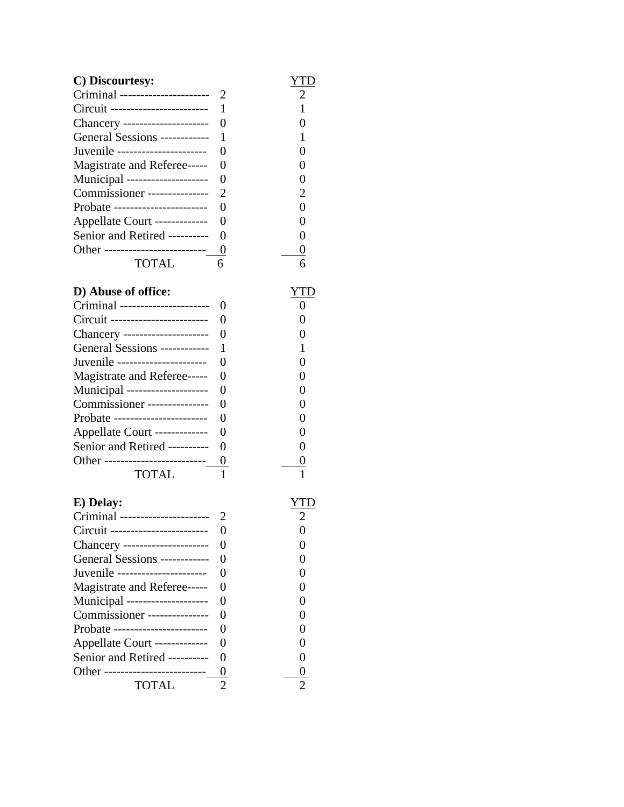| C) Discourtesy:                  |                  | YTD |
|----------------------------------|------------------|-----|
| Criminal ----------------------  | 2                | 2   |
| Circuit ------------------------ | 1                | 1   |
| Chancery --------------------- 0 |                  | 0   |
| General Sessions ------------    | 1                | 1   |
| Juvenile ----------------------  | $\theta$         | 0   |
| Magistrate and Referee-----      | $\overline{0}$   | 0   |
| Municipal --------------------   | $\overline{0}$   | 0   |
| Commissioner ---------------     | $\overline{2}$   | 2   |
| Probate -----------------------  | $\overline{0}$   | 0   |
| Appellate Court -------------    | $\overline{0}$   | 0   |
| Senior and Retired ----------    | $\overline{0}$   | 0   |
| Other -------------------------  | 0                | 0   |
| <b>TOTAL</b>                     | 6                | 6   |
| D) Abuse of office:              |                  | YTD |
| Criminal ---------------------   | 0                | 0   |
| Circuit ------------------------ | $\overline{0}$   | 0   |
| Chancery ---------------------   | $\overline{0}$   | 0   |
| General Sessions ------------    | 1                | 1   |
| Juvenile ----------------------  | $\theta$         | 0   |
| Magistrate and Referee-----      | $\overline{0}$   | 0   |
| Municipal --------------------   | 0                | 0   |
| Commissioner ---------------     | $\theta$         | 0   |
| Probate -----------------------  | 0                | 0   |
| Appellate Court -------------    | $\boldsymbol{0}$ | 0   |

## Other --------------------------<u>0</u> <u>0</u> TOTAL 1 1

| E) Delay:                        |                   |   |
|----------------------------------|-------------------|---|
| Criminal ----------------------  |                   | 2 |
| Circuit ------------------------ |                   |   |
| Chancery ---------------------   | $\mathbf{\Omega}$ |   |
| General Sessions ------------    | $\mathbf{\Omega}$ |   |
| Juvenile ----------------------  | 0                 |   |
| Magistrate and Referee-----      | $\mathbf{\Omega}$ |   |
| Municipal --------------------   | 0                 |   |
| Commissioner ---------------     | $\mathbf{\Omega}$ |   |
| Probate -----------------------  | 0                 |   |
| Appellate Court -------------    | $\mathbf{\Omega}$ |   |
| Senior and Retired ----------    | $\mathbf{\Omega}$ |   |
| Other -------------------------- | O                 |   |
| TOTAL                            |                   | ႒ |

Senior and Retired ---------- 0 0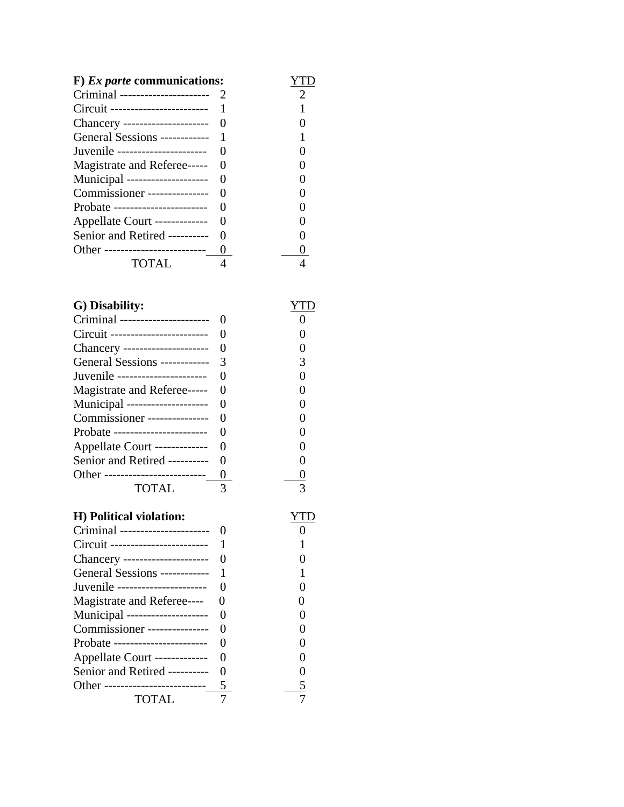| $F)$ <i>Ex parte</i> communications:            |  |
|-------------------------------------------------|--|
| Criminal ----------------------                 |  |
| Circuit -------------------------               |  |
| Chancery ---------------------                  |  |
| General Sessions ------------- 1                |  |
| Juvenile ----------------------                 |  |
| Magistrate and Referee-----                     |  |
| Municipal --------------------<br>$\mathcal{L}$ |  |
| Commissioner ---------------                    |  |
| Probate -----------------------                 |  |
| Appellate Court -------------                   |  |
| Senior and Retired ----------                   |  |
| Other --------------------------                |  |
| TOTAL                                           |  |

| G) Disability:                   |          |  |
|----------------------------------|----------|--|
| Criminal ----------------------  |          |  |
| Circuit ------------------------ |          |  |
| Chancery ---------------------   |          |  |
| General Sessions ------------    | 3        |  |
| Juvenile ----------------------  |          |  |
| Magistrate and Referee-----      |          |  |
| Municipal --------------------   | $\theta$ |  |
| Commissioner ---------------     |          |  |
| Probate -----------------------  |          |  |
| Appellate Court -------------    |          |  |
| Senior and Retired ----------    |          |  |
| Other -------------------------- |          |  |
| TOTAL                            |          |  |

## **H) Political violation:** YTD

| Criminal ----------------------     |          |   |
|-------------------------------------|----------|---|
|                                     |          |   |
| Chancery --------------------- 0    |          |   |
| General Sessions ------------ 1     |          |   |
| Juvenile ------------------------ 0 |          |   |
| Magistrate and Referee----          | $\theta$ | 0 |
| Municipal --------------------      | $\Omega$ | 0 |
| Commissioner ---------------        | $\Omega$ | 0 |
| Probate -----------------------     |          | 0 |
| Appellate Court -------------       | -0       | 0 |
| Senior and Retired ---------- 0     |          | 0 |
| Other -------------------------- 5  |          |   |
| TOTAL                               |          |   |
|                                     |          |   |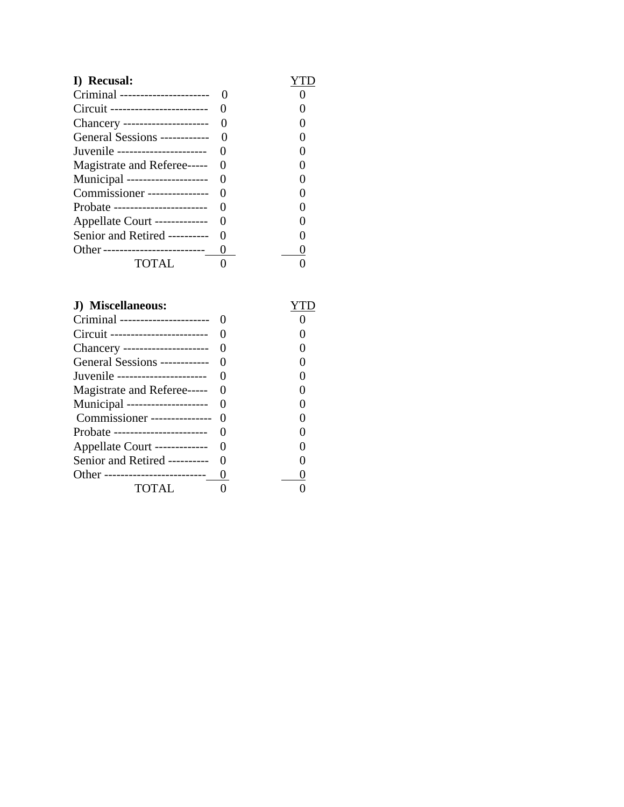| I) Recusal:                      |  |
|----------------------------------|--|
| Criminal ----------------------  |  |
| Circuit ------------------------ |  |
| Chancery ---------------------   |  |
| General Sessions ------------    |  |
| Juvenile ----------------------  |  |
| Magistrate and Referee-----      |  |
| Municipal --------------------   |  |
| Commissioner ---------------     |  |
| Probate -----------------------  |  |
| Appellate Court -------------    |  |
| Senior and Retired ----------    |  |
| Other -------------------------- |  |
| TOTAL                            |  |

| J) Miscellaneous:                 |  |
|-----------------------------------|--|
| Criminal ----------------------   |  |
| Circuit ------------------------- |  |
| Chancery ---------------------    |  |
| General Sessions ------------     |  |
| Juvenile ----------------------   |  |
| Magistrate and Referee-----       |  |
| Municipal --------------------    |  |
| Commissioner ---------------      |  |
| Probate -----------------------   |  |
| Appellate Court -------------     |  |
| Senior and Retired ----------     |  |
| Other --------------------------  |  |
| TOTAL.                            |  |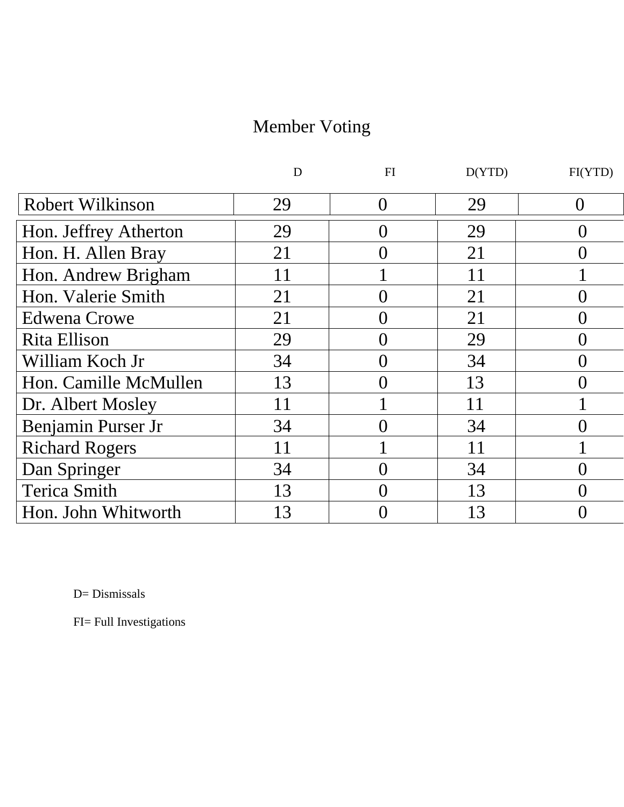# Member Voting

|                         | D  | FI               | D(YTD) | FI(YTD)          |
|-------------------------|----|------------------|--------|------------------|
| <b>Robert Wilkinson</b> | 29 | $\left( \right)$ | 29     |                  |
| Hon. Jeffrey Atherton   | 29 |                  | 29     | $\mathcal{O}$    |
| Hon. H. Allen Bray      | 21 |                  | 21     | ()               |
| Hon. Andrew Brigham     | 11 |                  | 11     |                  |
| Hon. Valerie Smith      | 21 |                  | 21     | 0                |
| <b>Edwena Crowe</b>     | 21 |                  | 21     | $\left( \right)$ |
| Rita Ellison            | 29 |                  | 29     | 0                |
| William Koch Jr         | 34 |                  | 34     | 0                |
| Hon. Camille McMullen   | 13 |                  | 13     | ( )              |
| Dr. Albert Mosley       | 11 |                  | 11     |                  |
| Benjamin Purser Jr      | 34 |                  | 34     | I J              |
| <b>Richard Rogers</b>   | 11 |                  | 11     |                  |
| Dan Springer            | 34 |                  | 34     |                  |
| <b>Terica Smith</b>     | 13 |                  | 13     | $\left( \right)$ |
| Hon. John Whitworth     | 13 |                  | 13     |                  |

D= Dismissals

FI= Full Investigations